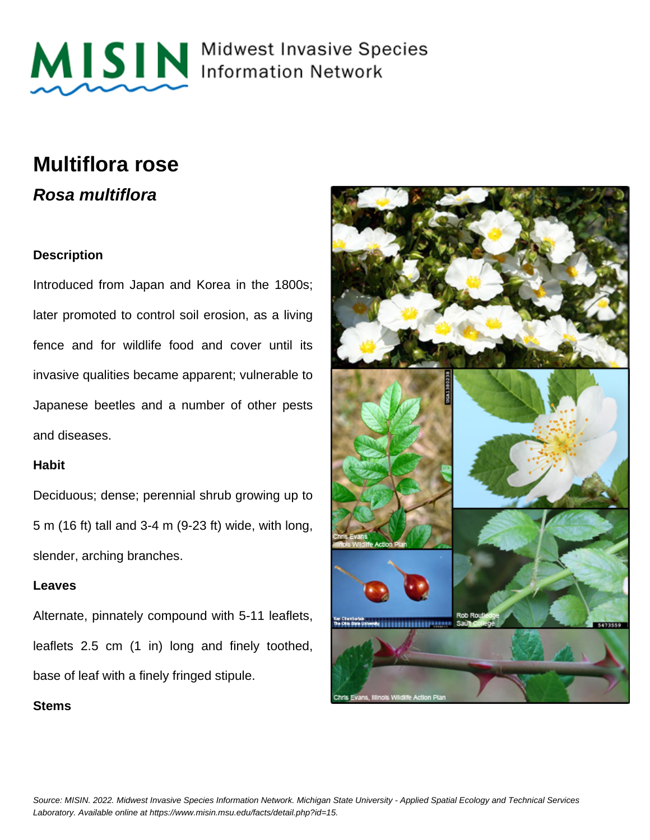

MISIN Midwest Invasive Species

## **Multiflora rose Rosa multiflora**

#### **Description**

Introduced from Japan and Korea in the 1800s; later promoted to control soil erosion, as a living fence and for wildlife food and cover until its invasive qualities became apparent; vulnerable to Japanese beetles and a number of other pests and diseases.

#### **Habit**

Deciduous; dense; perennial shrub growing up to 5 m (16 ft) tall and 3-4 m (9-23 ft) wide, with long, slender, arching branches.

#### **Leaves**

Alternate, pinnately compound with 5-11 leaflets, leaflets 2.5 cm (1 in) long and finely toothed, base of leaf with a finely fringed stipule.

**Stems**

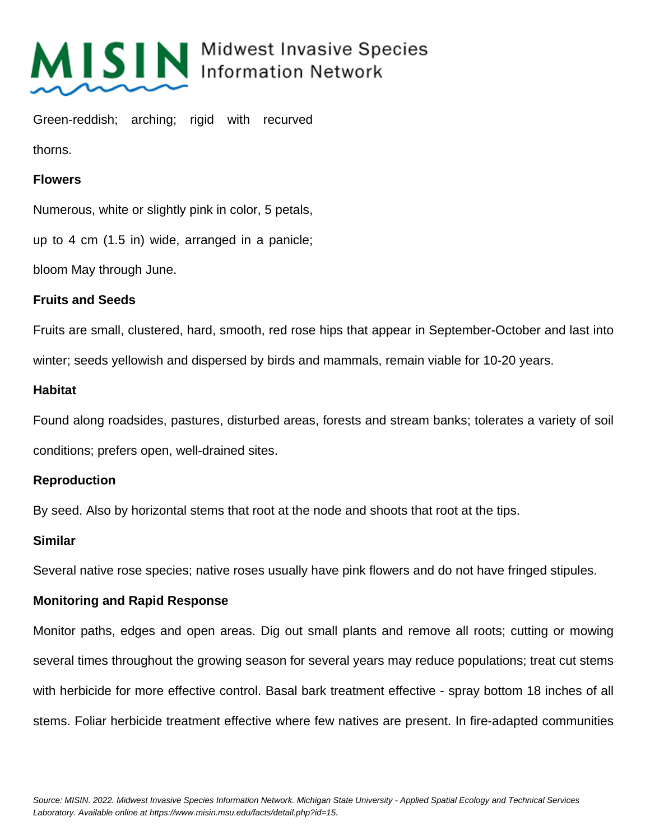

# MISIN Midwest Invasive Species

Green-reddish; arching; rigid with recurved

thorns.

#### **Flowers**

Numerous, white or slightly pink in color, 5 petals,

up to 4 cm (1.5 in) wide, arranged in a panicle;

bloom May through June.

### **Fruits and Seeds**

Fruits are small, clustered, hard, smooth, red rose hips that appear in September-October and last into winter; seeds yellowish and dispersed by birds and mammals, remain viable for 10-20 years.

### **Habitat**

Found along roadsides, pastures, disturbed areas, forests and stream banks; tolerates a variety of soil conditions; prefers open, well-drained sites.

### **Reproduction**

By seed. Also by horizontal stems that root at the node and shoots that root at the tips.

### **Similar**

Several native rose species; native roses usually have pink flowers and do not have fringed stipules.

### **Monitoring and Rapid Response**

Monitor paths, edges and open areas. Dig out small plants and remove all roots; cutting or mowing several times throughout the growing season for several years may reduce populations; treat cut stems with herbicide for more effective control. Basal bark treatment effective - spray bottom 18 inches of all stems. Foliar herbicide treatment effective where few natives are present. In fire-adapted communities